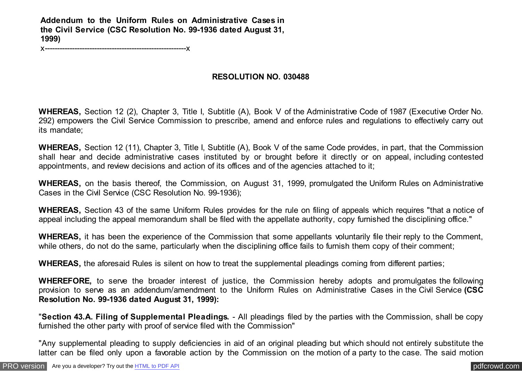**Addendum to the Uniform Rules on Administrative Cases in the Civil Service (CSC Resolution No. 99-1936 dated August 31, 1999)**

x---------------------------------------------------------x

## **RESOLUTION NO. 030488**

**WHEREAS,** Section 12 (2), Chapter 3, Title I, Subtitle (A), Book V of the Administrative Code of 1987 (Executive Order No. 292) empowers the Civil Service Commission to prescribe, amend and enforce rules and regulations to effectively carry out its mandate;

**WHEREAS,** Section 12 (11), Chapter 3, Title I, Subtitle (A), Book V of the same Code provides, in part, that the Commission shall hear and decide administrative cases instituted by or brought before it directly or on appeal, including contested appointments, and review decisions and action of its offices and of the agencies attached to it;

**WHEREAS,** on the basis thereof, the Commission, on August 31, 1999, promulgated the Uniform Rules on Administrative Cases in the Civil Service (CSC Resolution No. 99-1936);

**WHEREAS,** Section 43 of the same Uniform Rules provides for the rule on filing of appeals which requires "that a notice of appeal including the appeal memorandum shall be filed with the appellate authority, copy furnished the disciplining office."

**WHEREAS,** it has been the experience of the Commission that some appellants voluntarily file their reply to the Comment, while others, do not do the same, particularly when the disciplining office fails to furnish them copy of their comment;

**WHEREAS,** the aforesaid Rules is silent on how to treat the supplemental pleadings coming from different parties;

**WHEREFORE,** to serve the broader interest of justice, the Commission hereby adopts and promulgates the following provision to serve as an addendum/amendment to the Uniform Rules on Administrative Cases in the Civil Service **(CSC Resolution No. 99-1936 dated August 31, 1999):**

"**Section 43.A. Filing of Supplemental Pleadings.** - All pleadings filed by the parties with the Commission, shall be copy furnished the other party with proof of service filed with the Commission"

"Any supplemental pleading to supply deficiencies in aid of an original pleading but which should not entirely substitute the latter can be filed only upon a favorable action by the Commission on the motion of a party to the case. The said motion